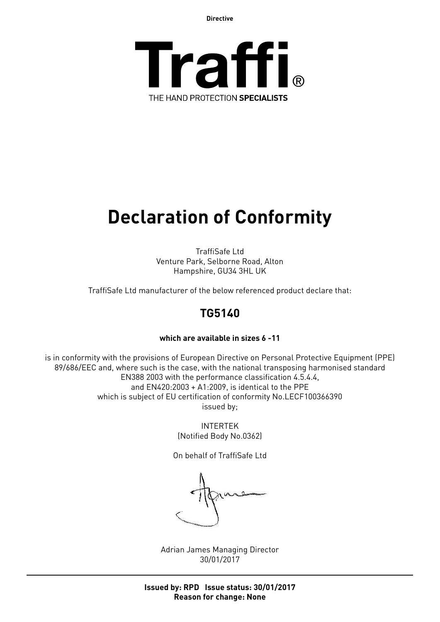**Directive**



# **Declaration of Conformity**

TraffiSafe Ltd Venture Park, Selborne Road, Alton Hampshire, GU34 3HL UK

TraffiSafe Ltd manufacturer of the below referenced product declare that:

## **TG5140**

### **which are available in sizes 6 -11**

is in conformity with the provisions of European Directive on Personal Protective Equipment (PPE) 89/686/EEC and, where such is the case, with the national transposing harmonised standard EN388 2003 with the performance classification 4.5.4.4, and EN420:2003 + A1:2009, is identical to the PPE which is subject of EU certification of conformity No.LECF100366390 issued by;

> INTERTEK (Notified Body No.0362)

On behalf of TraffiSafe Ltd

Adrian James Managing Director 30/01/2017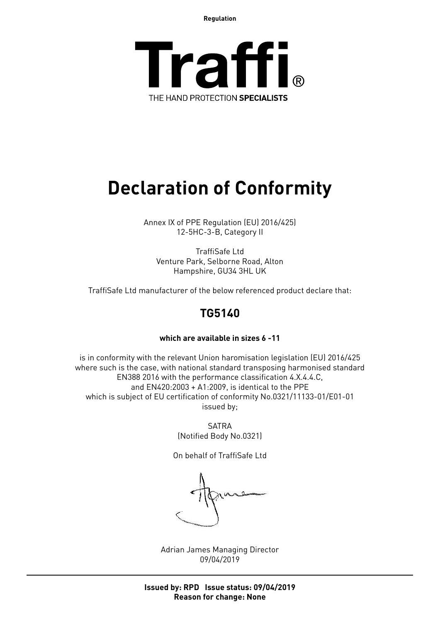**Regulation**



## **Declaration of Conformity**

Annex IX of PPE Regulation (EU) 2016/425) 12-5HC-3-B, Category II

TraffiSafe Ltd Venture Park, Selborne Road, Alton Hampshire, GU34 3HL UK

TraffiSafe Ltd manufacturer of the below referenced product declare that:

### **TG5140**

### **which are available in sizes 6 -11**

is in conformity with the relevant Union haromisation legislation (EU) 2016/425 where such is the case, with national standard transposing harmonised standard EN388 2016 with the performance classification 4.X.4.4.C, and EN420:2003 + A1:2009, is identical to the PPE which is subject of EU certification of conformity No.0321/11133-01/E01-01 issued by;

> SATRA (Notified Body No.0321)

On behalf of TraffiSafe Ltd

Adrian James Managing Director 09/04/2019